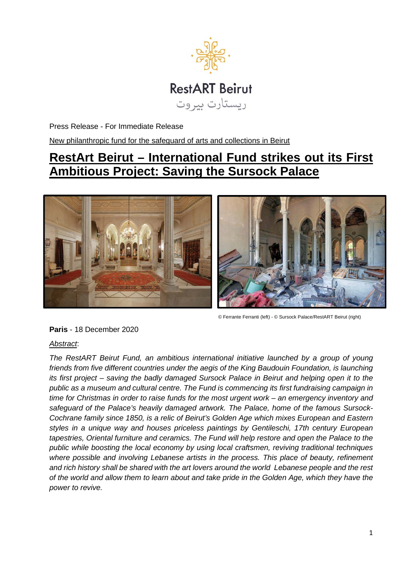

Press Release - For Immediate Release

New philanthropic fund for the safeguard of arts and collections in Beirut

## **RestArt Beirut – International Fund strikes out its First Ambitious Project: Saving the Sursock Palace**



© Ferrante Ferranti (left) - © Sursock Palace/RestART Beirut (right)

**Paris** - 18 December 2020

## *Abstract*:

*The RestART Beirut Fund, an ambitious international initiative launched by a group of young friends from five different countries under the aegis of the King Baudouin Foundation, is launching its first project – saving the badly damaged Sursock Palace in Beirut and helping open it to the public as a museum and cultural centre. The Fund is commencing its first fundraising campaign in time for Christmas in order to raise funds for the most urgent work – an emergency inventory and safeguard of the Palace's heavily damaged artwork. The Palace, home of the famous Sursock-Cochrane family since 1850, is a relic of Beirut's Golden Age which mixes European and Eastern styles in a unique way and houses priceless paintings by Gentileschi, 17th century European tapestries, Oriental furniture and ceramics. The Fund will help restore and open the Palace to the public while boosting the local economy by using local craftsmen, reviving traditional techniques where possible and involving Lebanese artists in the process. This place of beauty, refinement and rich history shall be shared with the art lovers around the world Lebanese people and the rest of the world and allow them to learn about and take pride in the Golden Age, which they have the power to revive.*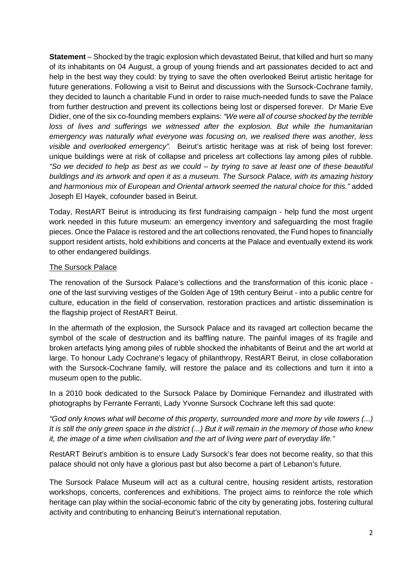**Statement** – Shocked by the tragic explosion which devastated Beirut, that killed and hurt so many of its inhabitants on 04 August, a group of young friends and art passionates decided to act and help in the best way they could: by trying to save the often overlooked Beirut artistic heritage for future generations. Following a visit to Beirut and discussions with the Sursock-Cochrane family, they decided to launch a charitable Fund in order to raise much-needed funds to save the Palace from further destruction and prevent its collections being lost or dispersed forever. Dr Marie Eve Didier, one of the six co-founding members explains: *"We were all of course shocked by the terrible*  loss of lives and sufferings we witnessed after the explosion. But while the humanitarian *emergency was naturally what everyone was focusing on, we realised there was another, less visible and overlooked emergency".* Beirut's artistic heritage was at risk of being lost forever: unique buildings were at risk of collapse and priceless art collections lay among piles of rubble. *"So we decided to help as best as we could – by trying to save at least one of these beautiful buildings and its artwork and open it as a museum. The Sursock Palace, with its amazing history and harmonious mix of European and Oriental artwork seemed the natural choice for this."* added Joseph El Hayek, cofounder based in Beirut.

Today, RestART Beirut is introducing its first fundraising campaign - help fund the most urgent work needed in this future museum: an emergency inventory and safeguarding the most fragile pieces. Once the Palace is restored and the art collections renovated, the Fund hopes to financially support resident artists, hold exhibitions and concerts at the Palace and eventually extend its work to other endangered buildings.

## The Sursock Palace

The renovation of the Sursock Palace's collections and the transformation of this iconic place one of the last surviving vestiges of the Golden Age of 19th century Beirut - into a public centre for culture, education in the field of conservation, restoration practices and artistic dissemination is the flagship project of RestART Beirut.

In the aftermath of the explosion, the Sursock Palace and its ravaged art collection became the symbol of the scale of destruction and its baffling nature. The painful images of its fragile and broken artefacts lying among piles of rubble shocked the inhabitants of Beirut and the art world at large. To honour Lady Cochrane's legacy of philanthropy, RestART Beirut, in close collaboration with the Sursock-Cochrane family, will restore the palace and its collections and turn it into a museum open to the public.

In a 2010 book dedicated to the Sursock Palace by Dominique Fernandez and illustrated with photographs by Ferrante Ferranti, Lady Yvonne Sursock Cochrane left this sad quote:

*"God only knows what will become of this property, surrounded more and more by vile towers (...) It is still the only green space in the district (...) But it will remain in the memory of those who knew it, the image of a time when civilisation and the art of living were part of everyday life."*

RestART Beirut's ambition is to ensure Lady Sursock's fear does not become reality, so that this palace should not only have a glorious past but also become a part of Lebanon's future.

The Sursock Palace Museum will act as a cultural centre, housing resident artists, restoration workshops, concerts, conferences and exhibitions. The project aims to reinforce the role which heritage can play within the social-economic fabric of the city by generating jobs, fostering cultural activity and contributing to enhancing Beirut's international reputation.